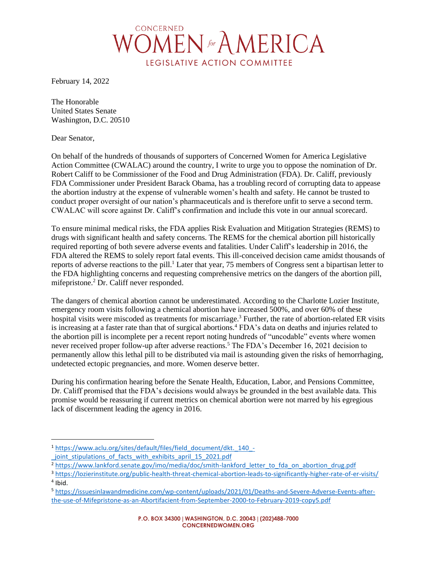

February 14, 2022

The Honorable United States Senate Washington, D.C. 20510

Dear Senator,

On behalf of the hundreds of thousands of supporters of Concerned Women for America Legislative Action Committee (CWALAC) around the country, I write to urge you to oppose the nomination of Dr. Robert Califf to be Commissioner of the Food and Drug Administration (FDA). Dr. Califf, previously FDA Commissioner under President Barack Obama, has a troubling record of corrupting data to appease the abortion industry at the expense of vulnerable women's health and safety. He cannot be trusted to conduct proper oversight of our nation's pharmaceuticals and is therefore unfit to serve a second term. CWALAC will score against Dr. Califf's confirmation and include this vote in our annual scorecard.

To ensure minimal medical risks, the FDA applies Risk Evaluation and Mitigation Strategies (REMS) to drugs with significant health and safety concerns. The REMS for the chemical abortion pill historically required reporting of both severe adverse events and fatalities. Under Califf's leadership in 2016, the FDA altered the REMS to solely report fatal events. This ill-conceived decision came amidst thousands of reports of adverse reactions to the pill.<sup>1</sup> Later that year, 75 members of Congress sent a bipartisan letter to the FDA highlighting concerns and requesting comprehensive metrics on the dangers of the abortion pill, mifepristone.<sup>2</sup> Dr. Califf never responded.

The dangers of chemical abortion cannot be underestimated. According to the Charlotte Lozier Institute, emergency room visits following a chemical abortion have increased 500%, and over 60% of these hospital visits were miscoded as treatments for miscarriage.<sup>3</sup> Further, the rate of abortion-related ER visits is increasing at a faster rate than that of surgical abortions.<sup>4</sup> FDA's data on deaths and injuries related to the abortion pill is incomplete per a recent report noting hundreds of "uncodable" events where women never received proper follow-up after adverse reactions.<sup>5</sup> The FDA's December 16, 2021 decision to permanently allow this lethal pill to be distributed via mail is astounding given the risks of hemorrhaging, undetected ectopic pregnancies, and more. Women deserve better.

During his confirmation hearing before the Senate Health, Education, Labor, and Pensions Committee, Dr. Califf promised that the FDA's decisions would always be grounded in the best available data. This promise would be reassuring if current metrics on chemical abortion were not marred by his egregious lack of discernment leading the agency in 2016.

<sup>1</sup> [https://www.aclu.org/sites/default/files/field\\_document/dkt.\\_140\\_-](https://www.aclu.org/sites/default/files/field_document/dkt._140_-_joint_stipulations_of_facts_with_exhibits_april_15_2021.pdf) [\\_joint\\_stipulations\\_of\\_facts\\_with\\_exhibits\\_april\\_15\\_2021.pdf](https://www.aclu.org/sites/default/files/field_document/dkt._140_-_joint_stipulations_of_facts_with_exhibits_april_15_2021.pdf)

<sup>&</sup>lt;sup>2</sup> [https://www.lankford.senate.gov/imo/media/doc/smith-lankford\\_letter\\_to\\_fda\\_on\\_abortion\\_drug.pdf](https://www.lankford.senate.gov/imo/media/doc/smith-lankford_letter_to_fda_on_abortion_drug.pdf)

<sup>3</sup> <https://lozierinstitute.org/public-health-threat-chemical-abortion-leads-to-significantly-higher-rate-of-er-visits/> 4 Ibid.

<sup>5</sup> [https://issuesinlawandmedicine.com/wp-content/uploads/2021/01/Deaths-and-Severe-Adverse-Events-after](https://issuesinlawandmedicine.com/wp-content/uploads/2021/01/Deaths-and-Severe-Adverse-Events-after-the-use-of-Mifepristone-as-an-Abortifacient-from-September-2000-to-February-2019-copy5.pdf)[the-use-of-Mifepristone-as-an-Abortifacient-from-September-2000-to-February-2019-copy5.pdf](https://issuesinlawandmedicine.com/wp-content/uploads/2021/01/Deaths-and-Severe-Adverse-Events-after-the-use-of-Mifepristone-as-an-Abortifacient-from-September-2000-to-February-2019-copy5.pdf)